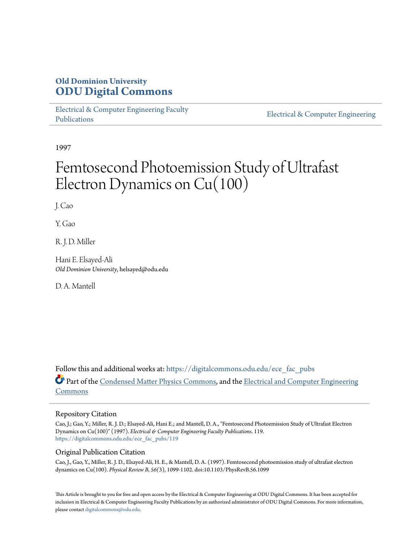# **Old Dominion University [ODU Digital Commons](https://digitalcommons.odu.edu?utm_source=digitalcommons.odu.edu%2Fece_fac_pubs%2F119&utm_medium=PDF&utm_campaign=PDFCoverPages)**

[Electrical & Computer Engineering Faculty](https://digitalcommons.odu.edu/ece_fac_pubs?utm_source=digitalcommons.odu.edu%2Fece_fac_pubs%2F119&utm_medium=PDF&utm_campaign=PDFCoverPages) [Publications](https://digitalcommons.odu.edu/ece_fac_pubs?utm_source=digitalcommons.odu.edu%2Fece_fac_pubs%2F119&utm_medium=PDF&utm_campaign=PDFCoverPages)

[Electrical & Computer Engineering](https://digitalcommons.odu.edu/ece?utm_source=digitalcommons.odu.edu%2Fece_fac_pubs%2F119&utm_medium=PDF&utm_campaign=PDFCoverPages)

1997

# Femtosecond Photoemission Study of Ultrafast Electron Dynamics on Cu(100)

J. Cao

Y. Gao

R. J. D. Miller

Hani E. Elsayed-Ali *Old Dominion University*, helsayed@odu.edu

D. A. Mantell

Follow this and additional works at: [https://digitalcommons.odu.edu/ece\\_fac\\_pubs](https://digitalcommons.odu.edu/ece_fac_pubs?utm_source=digitalcommons.odu.edu%2Fece_fac_pubs%2F119&utm_medium=PDF&utm_campaign=PDFCoverPages) Part of the [Condensed Matter Physics Commons,](http://network.bepress.com/hgg/discipline/197?utm_source=digitalcommons.odu.edu%2Fece_fac_pubs%2F119&utm_medium=PDF&utm_campaign=PDFCoverPages) and the [Electrical and Computer Engineering](http://network.bepress.com/hgg/discipline/266?utm_source=digitalcommons.odu.edu%2Fece_fac_pubs%2F119&utm_medium=PDF&utm_campaign=PDFCoverPages) [Commons](http://network.bepress.com/hgg/discipline/266?utm_source=digitalcommons.odu.edu%2Fece_fac_pubs%2F119&utm_medium=PDF&utm_campaign=PDFCoverPages)

## Repository Citation

Cao, J.; Gao, Y.; Miller, R. J. D.; Elsayed-Ali, Hani E.; and Mantell, D. A., "Femtosecond Photoemission Study of Ultrafast Electron Dynamics on Cu(100)" (1997). *Electrical & Computer Engineering Faculty Publications*. 119. [https://digitalcommons.odu.edu/ece\\_fac\\_pubs/119](https://digitalcommons.odu.edu/ece_fac_pubs/119?utm_source=digitalcommons.odu.edu%2Fece_fac_pubs%2F119&utm_medium=PDF&utm_campaign=PDFCoverPages)

# Original Publication Citation

Cao, J., Gao, Y., Miller, R. J. D., Elsayed-Ali, H. E., & Mantell, D. A. (1997). Femtosecond photoemission study of ultrafast electron dynamics on Cu(100). *Physical Review B, 56(*3), 1099-1102. doi:10.1103/PhysRevB.56.1099

This Article is brought to you for free and open access by the Electrical & Computer Engineering at ODU Digital Commons. It has been accepted for inclusion in Electrical & Computer Engineering Faculty Publications by an authorized administrator of ODU Digital Commons. For more information, please contact [digitalcommons@odu.edu](mailto:digitalcommons@odu.edu).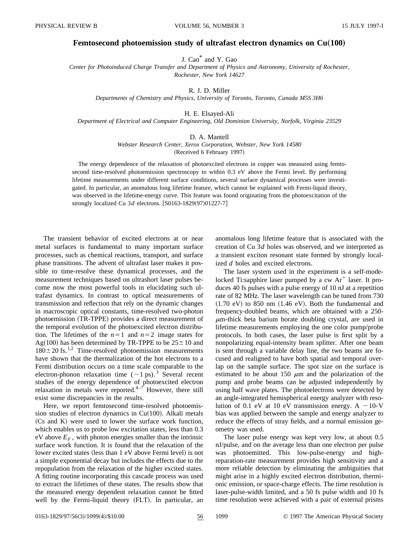### **Femtosecond photoemission study of ultrafast electron dynamics on Cu(100)**

J. Cao\* and Y. Gao

*Center for Photoinduced Charge Transfer and Department of Physics and Astronomy, University of Rochester, Rochester, New York 14627*

R. J. D. Miller

*Departments of Chemistry and Physics, University of Toronto, Toronto, Canada M5S 3H6*

H. E. Elsayed-Ali

*Department of Electrical and Computer Engineering, Old Dominion University, Norfolk, Virginia 23529*

#### D. A. Mantell

*Webster Research Center, Xerox Corporation, Webster, New York 14580* (Received 6 February 1997)

The energy dependence of the relaxation of photoexcited electrons in copper was measured using femtosecond time-resolved photoemission spectroscopy to within 0.3 eV above the Fermi level. By performing lifetime measurements under different surface conditions, several surface dynamical processes were investigated. In particular, an anomalous long lifetime feature, which cannot be explained with Fermi-liquid theory, was observed in the lifetime-energy curve. This feature was found originating from the photoexcitation of the strongly localized Cu 3*d* electrons. [S0163-1829(97)01227-7]

The transient behavior of excited electrons at or near metal surfaces is fundamental to many important surface processes, such as chemical reactions, transport, and surface phase transitions. The advent of ultrafast laser makes it possible to time-resolve these dynamical processes, and the measurement techniques based on ultrashort laser pulses become now the most powerful tools in elucidating such ultrafast dynamics. In contrast to optical measurements of transmission and reflection that rely on the dynamic changes in macroscopic optical constants, time-resolved two-photon photoemission (TR-TPPE) provides a direct measurement of the temporal evolution of the photoexcited electron distribution. The lifetimes of the  $n=1$  and  $n=2$  image states for Ag(100) has been determined by TR-TPPE to be  $25\pm10$  and  $180 \pm 20$  fs.<sup>1,2</sup> Time-resolved photoemission measurements have shown that the thermalization of the hot electrons to a Fermi distribution occurs on a time scale comparable to the electron-phonon relaxation time  $({\sim}1 \text{ ps})$ .<sup>3</sup> Several recent studies of the energy dependence of photoexcited electron relaxation in metals were reported. $4\neg$  However, there still exist some discrepancies in the results.

Here, we report femtosecond time-resolved photoemission studies of electron dynamics in  $Cu(100)$ . Alkali metals  $(Cs$  and  $K)$  were used to lower the surface work function, which enables us to probe low excitation states, less than 0.3 eV above  $E_F$ , with photon energies smaller than the intrinsic surface work function. It is found that the relaxation of the lower excited states (less than 1 eV above Fermi level) is not a simple exponential decay but includes the effects due to the repopulation from the relaxation of the higher excited states. A fitting routine incorporating this cascade process was used to extract the lifetimes of these states. The results show that the measured energy dependent relaxation cannot be fitted well by the Fermi-liquid theory (FLT). In particular, an anomalous long lifetime feature that is associated with the creation of Cu 3*d* holes was observed, and we interpreted as a transient exciton resonant state formed by strongly localized *d* holes and excited electrons.

The laser system used in the experiment is a self-modelocked Ti:sapphire laser pumped by a cw  $Ar^+$  laser. It produces 40 fs pulses with a pulse energy of 10 nJ at a repetition rate of 82 MHz. The laser wavelength can be tuned from 730  $(1.70 \text{ eV})$  to 850 nm  $(1.46 \text{ eV})$ . Both the fundamental and frequency-doubled beams, which are obtained with a 250-  $\mu$ m-thick beta barium borate doubling crystal, are used in lifetime measurements employing the one color pump/probe protocols. In both cases, the laser pulse is first split by a nonpolarizing equal-intensity beam splitter. After one beam is sent through a variable delay line, the two beams are focused and realigned to have both spatial and temporal overlap on the sample surface. The spot size on the surface is estimated to be about 150  $\mu$ m and the polarization of the pump and probe beams can be adjusted independently by using half wave plates. The photoelectrons were detected by an angle-integrated hemispherical energy analyzer with resolution of 0.1 eV at 10 eV transmission energy.  $A - 10-V$ bias was applied between the sample and energy analyzer to reduce the effects of stray fields, and a normal emission geometry was used.

The laser pulse energy was kept very low, at about 0.5 nJ/pulse, and on the average less than one electron per pulse was photoemitted. This low-pulse-energy and highreparation-rate measurement provides high sensitivity and a more reliable detection by eliminating the ambiguities that might arise in a highly excited electron distribution, thermionic emission, or space-charge effects. The time resolution is laser-pulse-width limited, and a 50 fs pulse width and 10 fs time resolution were achieved with a pair of external prisms

0163-1829/97/56(3)/1099(4)/\$10.00 56 1099 © 1997 The American Physical Society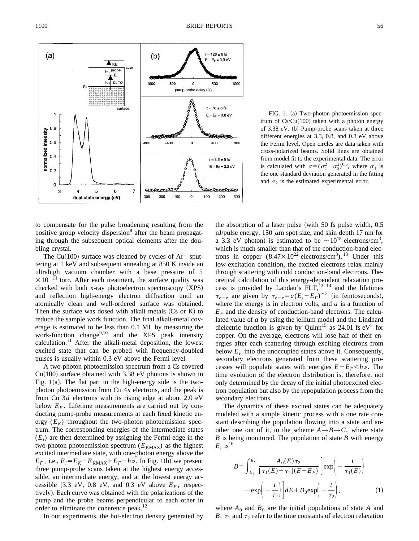

FIG. 1. (a) Two-photon photoemission spectrum of  $Cs/Cu(100)$  taken with a photon energy of  $3.38$  eV. (b) Pump-probe scans taken at three different energies at 3.3, 0.8, and 0.3 eV above the Fermi level. Open circles are data taken with cross-polarized beams. Solid lines are obtained from model fit to the experimental data. The error is calculated with  $\sigma = (\sigma_1^2 + \sigma_2^2)^{0.5}$ , where  $\sigma_1$  is the one standard deviation generated in the fitting and  $\sigma_2$  is the estimated experimental error.

to compensate for the pulse broadening resulting from the positive group velocity dispersion<sup>8</sup> after the beam propagating through the subsequent optical elements after the doubling crystal.

The Cu(100) surface was cleaned by cycles of  $Ar^+$  sputtering at 1 keV and subsequent annealing at 850 K inside an ultrahigh vacuum chamber with a base pressure of 5  $\times 10^{-11}$  torr. After each treatment, the surface quality was checked with both  $x$ -ray photoelectron spectroscopy  $(XPS)$ and reflection high-energy electron diffraction until an atomically clean and well-ordered surface was obtained. Then the surface was dosed with alkali metals  $(Cs$  or K) to reduce the sample work function. The final alkali-metal coverage is estimated to be less than 0.1 ML by measuring the work-function change<sup>9,10</sup> and the XPS peak intensity calculation.<sup>11</sup> After the alkali-metal deposition, the lowest excited state that can be probed with frequency-doubled pulses is usually within 0.3 eV above the Fermi level.

A two-photon photoemission spectrum from a Cs covered  $Cu(100)$  surface obtained with 3.38 eV photons is shown in Fig.  $1(a)$ . The flat part in the high-energy side is the twophoton photoemission from Cu 4*s* electrons, and the peak is from Cu 3*d* electrons with its rising edge at about 2.0 eV below  $E_F$ . Lifetime measurements are carried out by conducting pump-probe measurements at each fixed kinetic energy  $(E_K)$  throughout the two-photon photoemission spectrum. The corresponding energies of the intermediate states  $(E<sub>i</sub>)$  are then determined by assigning the Fermi edge in the two-photon photoemission spectrum  $(E_{KMAX})$  as the highest excited intermediate state, with one-photon energy above the  $E_F$ , i.e.,  $E_i = E_K - E_{KMAX} + E_F + h\nu$ . In Fig. 1(b) we present three pump-probe scans taken at the highest energy accessible, an intermediate energy, and at the lowest energy accessible  $(3.3 \text{ eV}, 0.8 \text{ eV}, \text{ and } 0.3 \text{ eV} \text{ above } E_F$ , respectively). Each curve was obtained with the polarizations of the pump and the probe beams perpendicular to each other in order to eliminate the coherence peak.<sup>12</sup>

In our experiments, the hot-electron density generated by

the absorption of a laser pulse (with 50 fs pulse width,  $0.5$ nJ/pulse energy, 150  $\mu$ m spot size, and skin depth 17 nm for a 3.3 eV photon) is estimated to be  $\sim 10^{18}$  electrons/cm<sup>3</sup>, which is much smaller than that of the conduction-band electrons in copper  $(8.47 \times 10^{22} \text{ electrons/cm}^3)$ .<sup>13</sup> Under this low-excitation condition, the excited electrons relax mainly through scattering with cold conduction-band electrons. Theoretical calculation of this energy-dependent relaxation process is provided by Landau's  $FLT$ ,  $^{13-14}$  and the lifetimes  $\tau_{e-e}$  are given by  $\tau_{e-e} = a(E_i - E_F)^{-2}$  (in femtoseconds), where the energy is in electron volts, and *a* is a function of  $E_F$  and the density of conduction-band electrons. The calculated value of *a* by using the jellium model and the Lindhard dielectric function is given by Quinn<sup>15</sup> as 24.01 fs  $eV^2$  for copper. On the average, electrons will lose half of their energies after each scattering through exciting electrons from below  $E_F$  into the unoccupied states above it. Consequently, secondary electrons generated from these scattering processes will populate states with energies  $E-E<sub>F</sub>$ *kv*. The time evolution of the electron distribution is, therefore, not only determined by the decay of the initial photoexcited electron population but also by the repopulation process from the secondary electrons.

The dynamics of these excited states can be adequately modeled with a simple kinetic process with a one rate constant describing the population flowing into a state and another one out of it, in the scheme  $A \rightarrow B \rightarrow C$ , where state *B* is being monitored. The population of state *B* with energy  $E_i$  is<sup>16</sup>

$$
B = \int_{E_i}^{h\nu} \frac{A_0(E)\,\tau_2}{[\,\tau_1(E) - \tau_2](E - E_F)} \left[ \exp\left(-\frac{t}{\tau_1(E)}\right) - \exp\left(-\frac{t}{\tau_2}\right) \right] dE + B_0 \exp\left(-\frac{t}{\tau_2}\right),\tag{1}
$$

where  $A_0$  and  $B_0$  are the initial populations of state  $A$  and *B*,  $\tau_1$  and  $\tau_2$  refer to the time constants of electron relaxation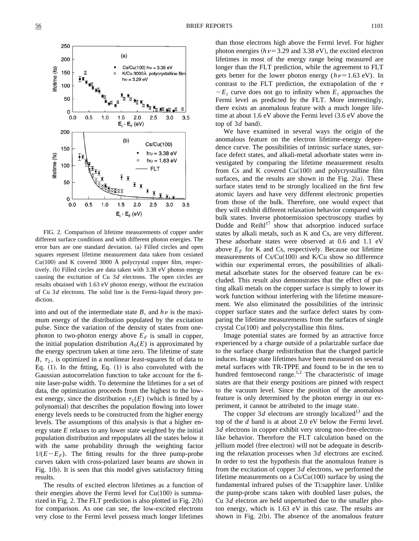

FIG. 2. Comparison of lifetime measurements of copper under different surface conditions and with different photon energies. The error bars are one standard deviation. (a) Filled circles and open squares represent lifetime measurement data taken from cesiated  $Cu(100)$  and K covered 3000 Å polycrystal copper film, respectively.  $(b)$  Filled circles are data taken with 3.38 eV photon energy causing the excitation of Cu 3*d* electrons. The open circles are results obtained with 1.63 eV photon energy, without the excitation of Cu 3*d* electrons. The solid line is the Fermi-liquid theory prediction.

into and out of the intermediate state  $B$ , and  $h\nu$  is the maximum energy of the distribution populated by the excitation pulse. Since the variation of the density of states from onephoton to two-photon energy above  $E_F$  is small in copper, the initial population distribution  $A_0(E)$  is approximated by the energy spectrum taken at time zero. The lifetime of state *B*,  $\tau_2$ , is optimized in a nonlinear least-squares fit of data to Eq.  $(1)$ . In the fitting, Eq.  $(1)$  is also convoluted with the Gaussian autocorrelation function to take account for the finite laser-pulse width. To determine the lifetimes for a set of data, the optimization proceeds from the highest to the lowest energy, since the distribution  $\tau_1(E)$  (which is fitted by a polynomial) that describes the population flowing into lower energy levels needs to be constructed from the higher energy levels. The assumptions of this analysis is that a higher energy state *E* relaxes to any lower state weighted by the initial population distribution and repopulates all the states below it with the same probability through the weighting factor  $1/(E-E_F)$ . The fitting results for the three pump-probe curves taken with cross-polarized laser beams are shown in Fig.  $1(b)$ . It is seen that this model gives satisfactory fitting results.

The results of excited electron lifetimes as a function of their energies above the Fermi level for  $Cu(100)$  is summarized in Fig. 2. The FLT prediction is also plotted in Fig.  $2(b)$ for comparison. As one can see, the low-excited electrons very close to the Fermi level possess much longer lifetimes than those electrons high above the Fermi level. For higher photon energies  $(h\nu=3.29$  and 3.38 eV), the excited electron lifetimes in most of the energy range being measured are longer than the FLT prediction, while the agreement to FLT gets better for the lower photon energy  $(h\nu=1.63 \text{ eV})$ . In contrast to the FLT prediction, the extrapolation of the  $\tau$  $-E_i$  curve does not go to infinity when  $E_i$  approaches the Fermi level as predicted by the FLT. More interestingly, there exists an anomalous feature with a much longer lifetime at about  $1.6$  eV above the Fermi level  $(3.6 \text{ eV})$  above the top of  $3d$  band).

We have examined in several ways the origin of the anomalous feature on the electron lifetime-energy dependence curve. The possibilities of intrinsic surface states, surface defect states, and alkali-metal adsorbate states were investigated by comparing the lifetime measurement results from Cs and K covered  $Cu(100)$  and polycrystalline film surfaces, and the results are shown in the Fig.  $2(a)$ . These surface states tend to be strongly localized on the first few atomic layers and have very different electronic properties from those of the bulk. Therefore, one would expect that they will exhibit different relaxation behavior compared with bulk states. Inverse photoemission spectroscopy studies by Dudde and  $Reih<sup>17</sup>$  show that adsorption induced surface states by alkali metals, such as K and Cs, are very different. These adsorbate states were observed at 0.6 and 1.1 eV above  $E_F$  for K and Cs, respectively. Because our lifetime measurements of  $Cs/Cu(100)$  and K/Cu show no difference within our experimental errors, the possibilities of alkalimetal adsorbate states for the observed feature can be excluded. This result also demonstrates that the effect of putting alkali metals on the copper surface is simply to lower its work function without interfering with the lifetime measurement. We also eliminated the possibilities of the intrinsic copper surface states and the surface defect states by comparing the lifetime measurements from the surfaces of single crystal  $Cu(100)$  and polycrystalline thin films.

Image potential states are formed by an attractive force experienced by a charge outside of a polarizable surface due to the surface charge redistribution that the charged particle induces. Image state lifetimes have been measured on several metal surfaces with TR-TPPE and found to be in the ten to hundred femtosecond range.<sup>1,2</sup> The characteristic of image states are that their energy positions are pinned with respect to the vacuum level. Since the position of the anomalous feature is only determined by the photon energy in our experiment, it cannot be attributed to the image state.

The copper  $3d$  electrons are strongly localized<sup>13</sup> and the top of the *d* band is at about 2.0 eV below the Fermi level. 3*d* electrons in copper exhibit very strong non-free-electronlike behavior. Therefore the FLT calculation based on the jellium model (free electron) will not be adequate in describing the relaxation processes when 3*d* electrons are excited. In order to test the hypothesis that the anomalous feature is from the excitation of copper 3*d* electrons, we performed the lifetime measurements on a  $Cs/Cu(100)$  surface by using the fundamental infrared pulses of the Ti:sapphire laser. Unlike the pump-probe scans taken with doubled laser pulses, the Cu 3*d* electron are held unperturbed due to the smaller photon energy, which is 1.63 eV in this case. The results are shown in Fig.  $2(b)$ . The absence of the anomalous feature